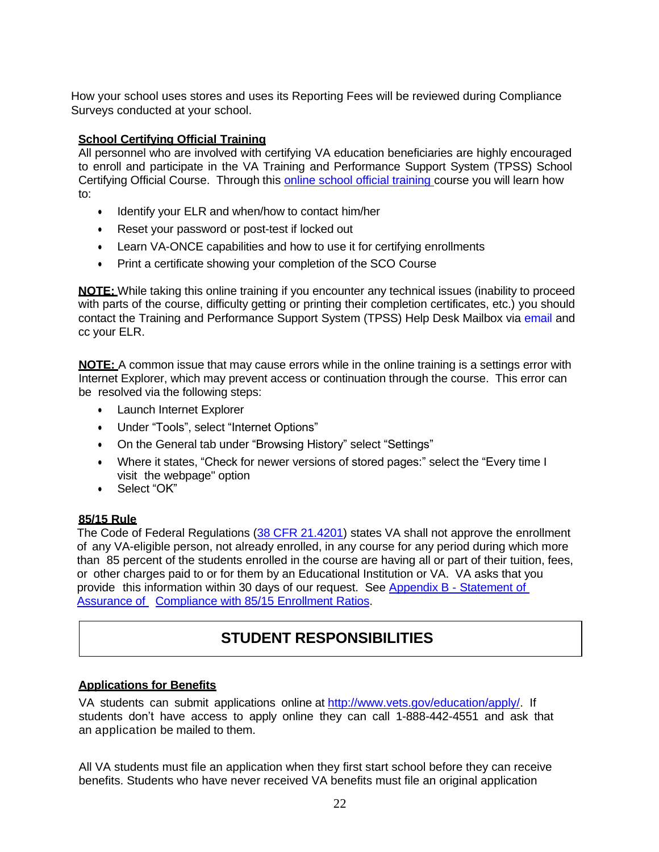How your school uses stores and uses its Reporting Fees will be reviewed during Compliance Surveys conducted at your school.

# **School Certifying Official Training**

All personnel who are involved with certifying VA education beneficiaries are highly encouraged to enroll and participate in the VA Training and Performance Support System (TPSS) School Certifying Official Course. Through this online school official [training](http://www.benefits.va.gov/gibill/resources/education_resources/school_certifying_officials/online_sco_training.asp) course you will learn how to:

- Identify your ELR and when/how to contact him/her
- Reset your password or post-test if locked out
- Learn VA-ONCE capabilities and how to use it for certifying enrollments
- Print a certificate showing your completion of the SCO Course

**NOTE:** While taking this online training if you encounter any technical issues (inability to proceed with parts of the course, difficulty getting or printing their completion certificates, etc.) you should contact the Training and Performance Support System (TPSS) Help Desk Mailbox via [email](mailto:VBA-TPSS-Support@gdit.com) and cc your ELR.

**NOTE:** A common issue that may cause errors while in the online training is a settings error with Internet Explorer, which may prevent access or continuation through the course. This error can be resolved via the following steps:

- Launch Internet Explorer
- Under "Tools", select "Internet Options"
- On the General tab under "Browsing History" select "Settings"
- Where it states, "Check for newer versions of stored pages:" select the "Every time I visit the webpage" option
- Select "OK"

## **85/15 Rule**

The Code of Federal Regulations (38 CFR [21.4201\)](http://www.ecfr.gov/cgi-bin/text-idx?SID=05112a4fc174a60cda8527dc1d13416c&mc=true&node=se38.2.21_14201&rgn=div8) states VA shall not approve the enrollment of any VA-eligible person, not already enrolled, in any course for any period during which more than 85 percent of the students enrolled in the course are having all or part of their tuition, fees, or other charges paid to or for them by an Educational Institution or VA. VA asks that you provide this information within 30 days of our request. See Appendix B - Statement of Assurance of Compliance with 85/15 Enrollment Ratios.

# **STUDENT RESPONSIBILITIES**

## **Applications for Benefits**

VA students can submit applications online at [http://www.vets.gov/education/apply/.](http://www.vets.gov/education/apply/) If students don't have access to apply online they can call 1-888-442-4551 and ask that an application be mailed to them.

All VA students must file an application when they first start school before they can receive benefits. Students who have never received VA benefits must file an original application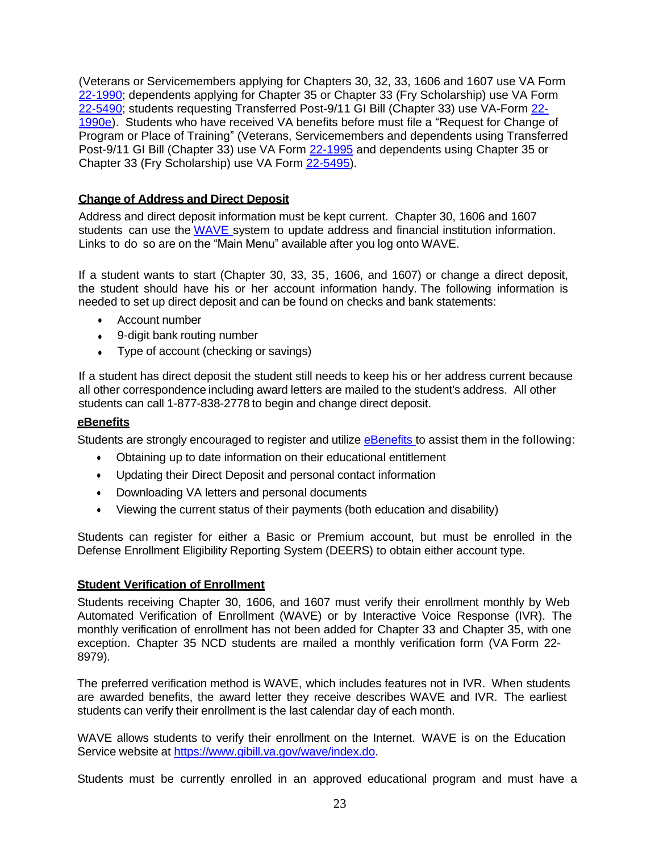(Veterans or Servicemembers applying for Chapters 30, 32, 33, 1606 and 1607 use VA Form [22-1990;](http://www.vba.va.gov/pubs/forms/VBA-22-1990-ARE.pdf) dependents applying for Chapter 35 or Chapter 33 (Fry Scholarship) use VA For[m](http://www.vba.va.gov/pubs/forms/VBA-22-5490-ARE.pdf) [22-5490;](http://www.vba.va.gov/pubs/forms/VBA-22-5490-ARE.pdf) students requesting Transferred Post-9/11 GI Bill (Chapter 33) use VA-Form [22-](http://www.vba.va.gov/pubs/forms/VBA-22-1990e-ARE.pdf) [1990e\).](http://www.vba.va.gov/pubs/forms/VBA-22-1990e-ARE.pdf) Students who have received VA benefits before must file a "Request for Change of Program or Place of Training" (Veterans, Servicemembers and dependents using Transferred Post-9/11 GI Bill (Chapter 33) use VA For[m](http://www.vba.va.gov/pubs/forms/VBA-22-1995-ARE.pdf) [22-1995](http://www.vba.va.gov/pubs/forms/VBA-22-1995-ARE.pdf) and dependents using Chapter 35 or Chapter 33 (Fry Scholarship) use VA For[m](http://www.vba.va.gov/pubs/forms/VBA-22-5495-ARE.pdf) [22-5495\).](http://www.vba.va.gov/pubs/forms/VBA-22-5495-ARE.pdf)

## **Change of Address and Direct Deposit**

Address and direct deposit information must be kept current. Chapter 30, 1606 and 1607 students can use the [WAVE](https://www.gibill.va.gov/wave/index.do) system to update address and financial institution information. Links to do so are on the "Main Menu" available after you log onto WAVE.

If a student wants to start (Chapter 30, 33, 35, 1606, and 1607) or change a direct deposit, the student should have his or her account information handy. The following information is needed to set up direct deposit and can be found on checks and bank statements:

- Account number
- 9-digit bank routing number
- Type of account (checking or savings)

If a student has direct deposit the student still needs to keep his or her address current because all other correspondence including award letters are mailed to the student's address. All other students can call 1-877-838-2778 to begin and change direct deposit.

### **eBenefits**

Students are strongly encouraged to register and utilize [eBenefits](https://www.ebenefits.va.gov/ebenefits/homepage) to assist them in the following:

- Obtaining up to date information on their educational entitlement
- Updating their Direct Deposit and personal contact information
- Downloading VA letters and personal documents
- Viewing the current status of their payments (both education and disability)

Students can register for either a Basic or Premium account, but must be enrolled in the Defense Enrollment Eligibility Reporting System (DEERS) to obtain either account type.

#### **Student Verification of Enrollment**

Students receiving Chapter 30, 1606, and 1607 must verify their enrollment monthly by Web Automated Verification of Enrollment (WAVE) or by Interactive Voice Response (IVR). The monthly verification of enrollment has not been added for Chapter 33 and Chapter 35, with one exception. Chapter 35 NCD students are mailed a monthly verification form (VA Form 22- 8979).

The preferred verification method is WAVE, which includes features not in IVR. When students are awarded benefits, the award letter they receive describes WAVE and IVR. The earliest students can verify their enrollment is the last calendar day of each month.

WAVE allows students to verify their enrollment on the Internet. WAVE is on the Education Service website at [https://www.gibill.va.gov/wave/index.do.](https://www.gibill.va.gov/wave/index.do)

Students must be currently enrolled in an approved educational program and must have a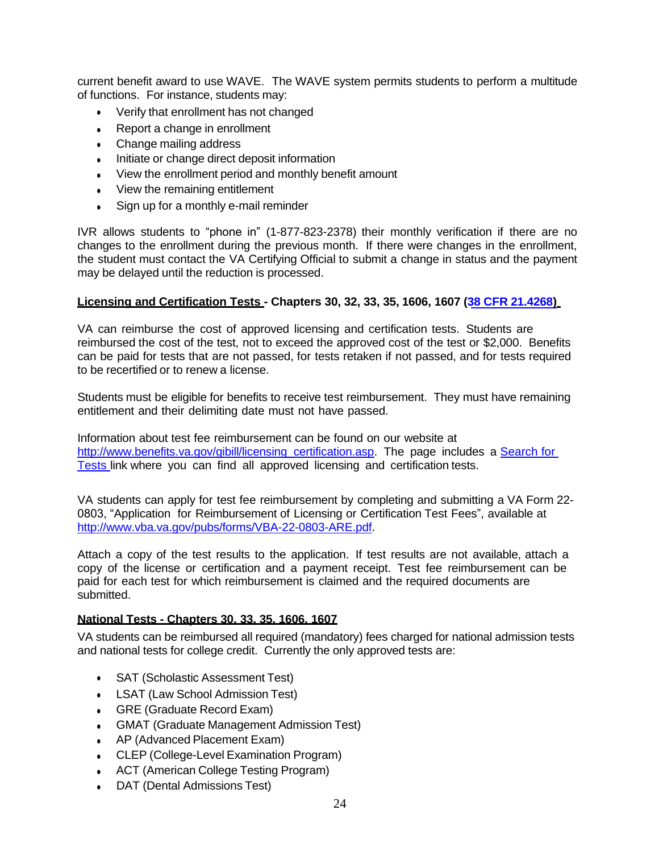current benefit award to use WAVE. The WAVE system permits students to perform a multitude of functions. For instance, students may:

- Verify that enrollment has not changed
- Report a change in enrollment
- Change mailing address
- Initiate or change direct deposit information
- View the enrollment period and monthly benefit amount
- View the remaining entitlement
- Sign up for a monthly e-mail reminder

IVR allows students to "phone in" (1-877-823-2378) their monthly verification if there are no changes to the enrollment during the previous month. If there were changes in the enrollment, the student must contact the VA Certifying Official to submit a change in status and the payment may be delayed until the reduction is processed.

#### **Licensing and Certification Tests - Chapters 30, 32, 33, 35, 1606, 1607 (38 CFR [21.4268\)](http://www.ecfr.gov/cgi-bin/retrieveECFR?gp=1&SID=77b4c5ec96a269c6bc83d4e88bf4d0d1&ty=HTML&h=L&mc=true&r=SECTION&n=se38.2.21_14268%20)**

VA can reimburse the cost of approved licensing and certification tests. Students are reimbursed the cost of the test, not to exceed the approved cost of the test or \$2,000. Benefits can be paid for tests that are not passed, for tests retaken if not passed, and for tests required to be recertified or to renew a license.

Students must be eligible for benefits to receive test reimbursement. They must have remaining entitlement and their delimiting date must not have passed.

Information about test fee reimbursement can be found on our website at http://www.benefits.va.gov/gibill/licensing certification.asp. The page includes a [Search](http://inquiry.vba.va.gov/weamspub/buildSearchLCCriteria.do) for [Tests](http://inquiry.vba.va.gov/weamspub/buildSearchLCCriteria.do) link where you can find all approved licensing and certification tests.

VA students can apply for test fee reimbursement by completing and submitting a VA Form 22- 0803, "Application for Reimbursement of Licensing or Certification Test Fees", available at [http://www.vba.va.gov/pubs/forms/VBA-22-0803-ARE.pdf.](http://www.vba.va.gov/pubs/forms/VBA-22-0803-ARE.pdf)

Attach a copy of the test results to the application. If test results are not available, attach a copy of the license or certification and a payment receipt. Test fee reimbursement can be paid for each test for which reimbursement is claimed and the required documents are submitted.

#### **National Tests - Chapters 30, 33, 35, 1606, 1607**

VA students can be reimbursed all required (mandatory) fees charged for national admission tests and national tests for college credit. Currently the only approved tests are:

- SAT (Scholastic Assessment Test)
- LSAT (Law School Admission Test)
- GRE (Graduate Record Exam)
- GMAT (Graduate Management Admission Test)
- AP (Advanced Placement Exam)
- CLEP (College-Level Examination Program)
- ACT (American College Testing Program)
- DAT (Dental Admissions Test)